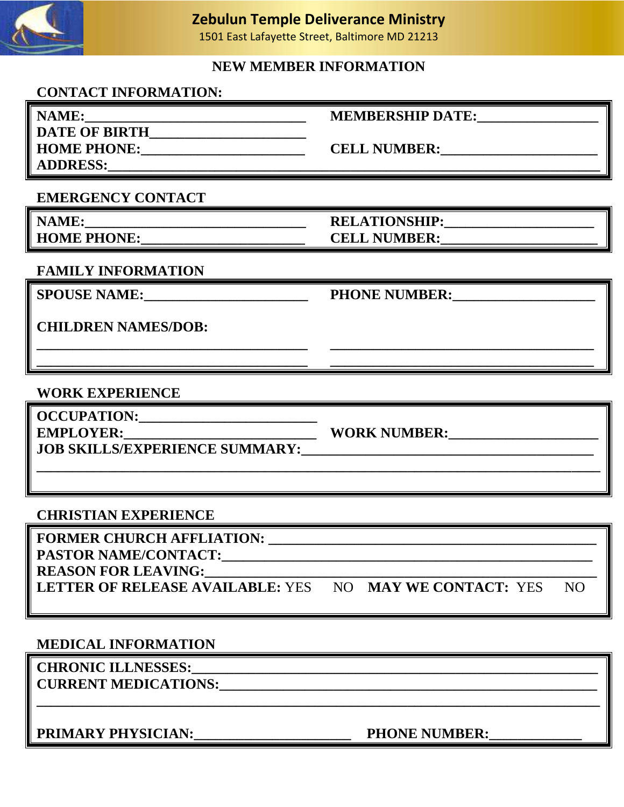

### **Zebulun Temple Deliverance Ministry**

1501 East Lafayette Street, Baltimore MD 21213

### **NEW MEMBER INFORMATION**

### **CONTACT INFORMATION:**

| NAME:                | <b>MEMBERSHIP DATE:</b> |
|----------------------|-------------------------|
| <b>DATE OF BIRTH</b> |                         |
| <b>HOME PHONE:</b>   | <b>CELL NUMBER:</b>     |
| <b>ADDRESS:</b>      |                         |

### **EMERGENCY CONTACT**

**HOME PHONE:\_\_\_\_\_\_\_\_\_\_\_\_\_\_\_\_\_\_\_\_\_\_\_ CELL NUMBER:\_\_\_\_\_\_\_\_\_\_\_\_\_\_\_\_\_\_\_\_\_\_**

**NAME:\_\_\_\_\_\_\_\_\_\_\_\_\_\_\_\_\_\_\_\_\_\_\_\_\_\_\_\_\_\_\_ RELATIONSHIP:\_\_\_\_\_\_\_\_\_\_\_\_\_\_\_\_\_\_\_\_\_**

# **FAMILY INFORMATION**

**SPOUSE NAME:**<br>PHONE NUMBER:

**CHILDREN NAMES/DOB:** 

### **WORK EXPERIENCE**

**OCCUPATION:\_\_\_\_\_\_\_\_\_\_\_\_\_\_\_\_\_\_\_\_\_\_\_\_\_**

**JOB SKILLS/EXPERIENCE SUMMARY:\_\_\_\_\_\_\_\_\_\_\_\_\_\_\_\_\_\_\_\_\_\_\_\_\_\_\_\_\_\_\_\_\_\_\_\_\_\_\_\_\_**

**EMPLOYER:\_\_\_\_\_\_\_\_\_\_\_\_\_\_\_\_\_\_\_\_\_\_\_\_\_\_\_ WORK NUMBER:\_\_\_\_\_\_\_\_\_\_\_\_\_\_\_\_\_\_\_\_\_**

#### **CHRISTIAN EXPERIENCE**

| <b>FORMER CHURCH AFFLIATION:</b>        |                        |     |
|-----------------------------------------|------------------------|-----|
| <b>PASTOR NAME/CONTACT:</b>             |                        |     |
| <b>REASON FOR LEAVING:</b>              |                        |     |
| <b>LETTER OF RELEASE AVAILABLE: YES</b> | NO MAY WE CONTACT: YES | NO. |

**\_\_\_\_\_\_\_\_\_\_\_\_\_\_\_\_\_\_\_\_\_\_\_\_\_\_\_\_\_\_\_\_\_\_\_\_\_\_\_\_\_\_\_\_\_\_\_\_\_\_\_\_\_\_\_\_\_\_\_\_\_\_\_\_\_\_\_\_\_\_\_\_\_\_\_\_\_\_\_**

**\_\_\_\_\_\_\_\_\_\_\_\_\_\_\_\_\_\_\_\_\_\_\_\_\_\_\_\_\_\_\_\_\_\_\_\_\_\_\_\_\_\_\_\_\_\_\_\_\_\_\_\_\_\_\_\_\_\_\_\_\_\_\_\_\_\_\_\_\_\_\_\_\_\_\_\_\_\_\_**

**\_\_\_\_\_\_\_\_\_\_\_\_\_\_\_\_\_\_\_\_\_\_\_\_\_\_\_\_\_\_\_\_\_\_\_\_\_\_ \_\_\_\_\_\_\_\_\_\_\_\_\_\_\_\_\_\_\_\_\_\_\_\_\_\_\_\_\_\_\_\_\_\_\_\_\_**

**\_\_\_\_\_\_\_\_\_\_\_\_\_\_\_\_\_\_\_\_\_\_\_\_\_\_\_\_\_\_\_\_\_\_\_\_\_\_ \_\_\_\_\_\_\_\_\_\_\_\_\_\_\_\_\_\_\_\_\_\_\_\_\_\_\_\_\_\_\_\_\_\_\_\_\_**

### **MEDICAL INFORMATION**

**CHRONIC ILLNESSES:\_\_\_\_\_\_\_\_\_\_\_\_\_\_\_\_\_\_\_\_\_\_\_\_\_\_\_\_\_\_\_\_\_\_\_\_\_\_\_\_\_\_\_\_\_\_\_\_\_\_\_\_\_\_\_\_\_ CURRENT MEDICATIONS:\_\_\_\_\_\_\_\_\_\_\_\_\_\_\_\_\_\_\_\_\_\_\_\_\_\_\_\_\_\_\_\_\_\_\_\_\_\_\_\_\_\_\_\_\_\_\_\_\_\_\_\_\_**

**PRIMARY PHYSICIAN:\_\_\_\_\_\_\_\_\_\_\_\_\_\_\_\_\_\_\_\_\_\_ PHONE NUMBER:\_\_\_\_\_\_\_\_\_\_\_\_\_**